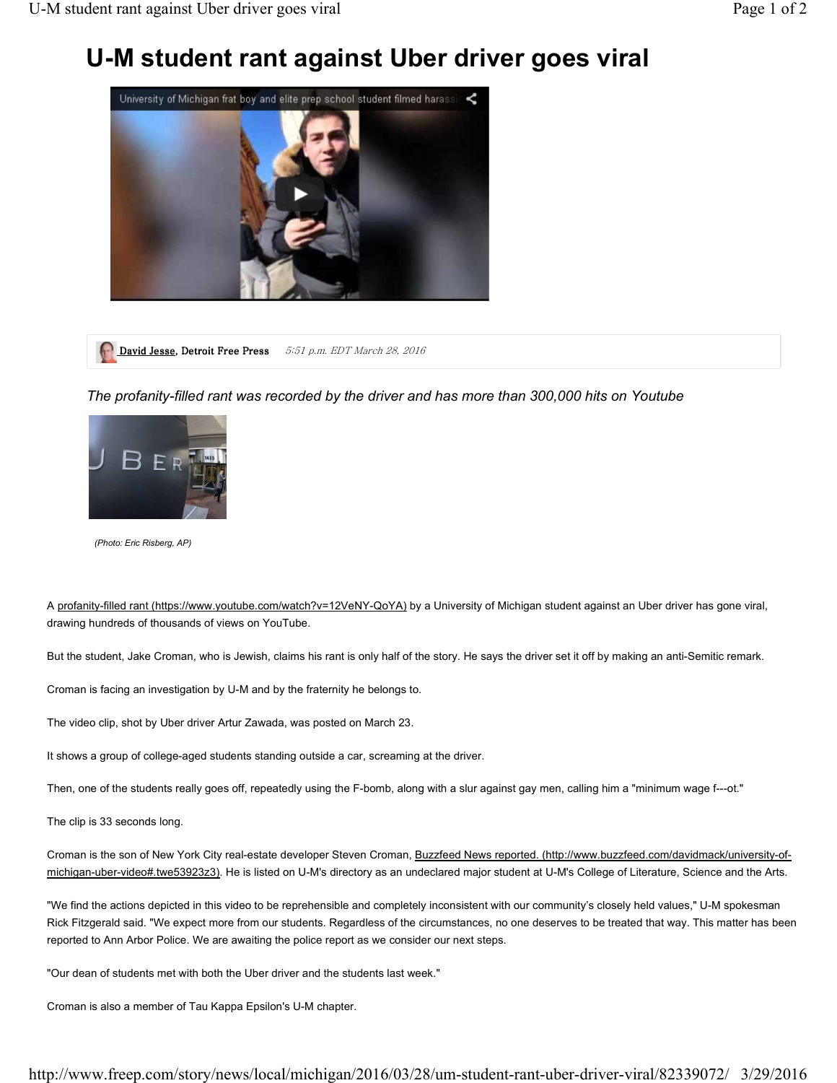## **U-M student rant against Uber driver goes viral**



David Jesse, Detroit Free Press 5:51 p.m. EDT March 28, 2016

*The profanity-filled rant was recorded by the driver and has more than 300,000 hits on Youtube*



*(Photo: Eric Risberg, AP)*

A profanity-filled rant (https://www.youtube.com/watch?v=12VeNY-QoYA) by a University of Michigan student against an Uber driver has gone viral, drawing hundreds of thousands of views on YouTube.

But the student, Jake Croman, who is Jewish, claims his rant is only half of the story. He says the driver set it off by making an anti-Semitic remark.

Croman is facing an investigation by U-M and by the fraternity he belongs to.

The video clip, shot by Uber driver Artur Zawada, was posted on March 23.

It shows a group of college-aged students standing outside a car, screaming at the driver.

Then, one of the students really goes off, repeatedly using the F-bomb, along with a slur against gay men, calling him a "minimum wage f---ot."

The clip is 33 seconds long.

Croman is the son of New York City real-estate developer Steven Croman, Buzzfeed News reported. (http://www.buzzfeed.com/davidmack/university-ofmichigan-uber-video#.twe53923z3). He is listed on U-M's directory as an undeclared major student at U-M's College of Literature, Science and the Arts.

"We find the actions depicted in this video to be reprehensible and completely inconsistent with our community's closely held values," U-M spokesman Rick Fitzgerald said. "We expect more from our students. Regardless of the circumstances, no one deserves to be treated that way. This matter has been reported to Ann Arbor Police. We are awaiting the police report as we consider our next steps.

"Our dean of students met with both the Uber driver and the students last week."

Croman is also a member of Tau Kappa Epsilon's U-M chapter.